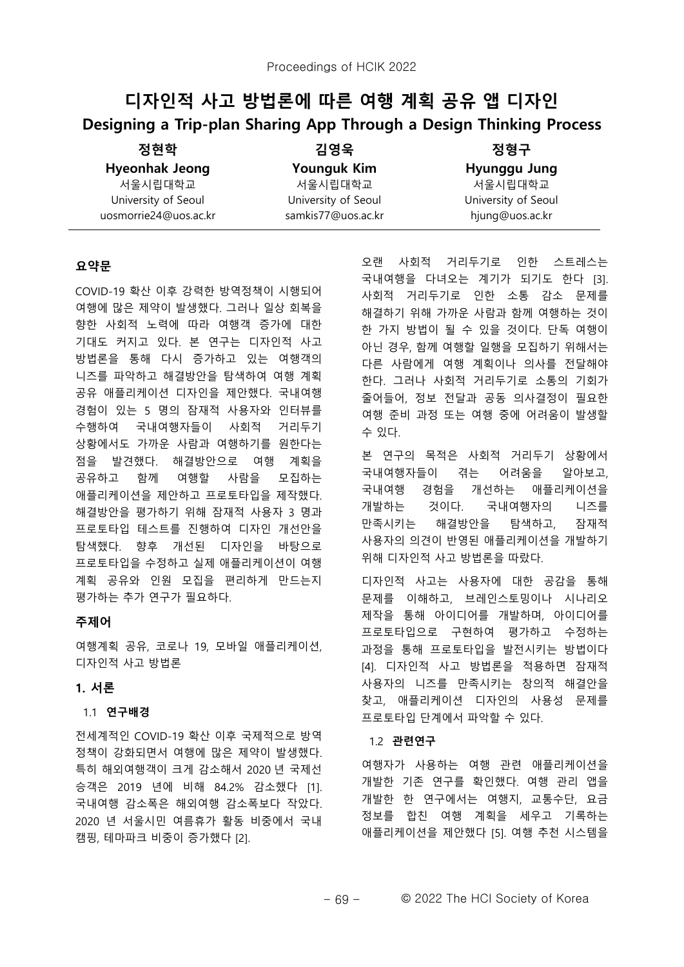# $\blacksquare$  지수 지수 방법론에 따른 여행 계획 공유 앱 디자인 **Designing a Trip-plan Sharing App Through a Design Thinking Process**

| 정현학                   | 김영욱                 | 정형구                 |
|-----------------------|---------------------|---------------------|
| <b>Hyeonhak Jeong</b> | <b>Younguk Kim</b>  | Hyunggu Jung        |
| 서울시립대학교               | 서울시립대학교             | 서울시립대학교             |
| University of Seoul   | University of Seoul | University of Seoul |
| uosmorrie24@uos.ac.kr | samkis77@uos.ac.kr  | hjung@uos.ac.kr     |

# 요약문

COVID-19 확산 이후 강력한 방역정책이 시행되어 여행에 많은 제약이 발생했다. 그러나 일상 회복을 향한 사회적 노력에 따라 여행객 증가에 대한 기대도 커지고 있다. 본 연구는 디자인적 사고 방법론을 통해 다시 증가하고 있는 여행객의 니즈를 파악하고 해결방안을 탐색하여 여행 계획 공유 애플리케이션 디자인을 제안했다. 국내여행 경험이 있는 5 명의 잠재적 사용자와 인터뷰를 수행하여 국내여행자들이 사회적 거리두기 상황에서도 가까운 사람과 여행하기를 원한다는 점을 발견했다. 해결방안으로 여행 계획을 공유하고 함께 여행할 사람을 모집하는 애플리케이션을 제안하고 프로토타입을 제작했다. 해결방안을 평가하기 위해 잠재적 사용자 3 명과 프로토타입 테스트를 진행하여 디자인 개선안을 탐색했다. 향후 개선된 디자인을 바탕으로 프로토타입을 수정하고 실제 애플리케이션이 여행 계획 공유와 인원 모집을 편리하게 만드는지 평가하는 추가 연구가 필요하다.

# **ߪࢼ࣬**

여행계획 공유, 코로나 19, 모바일 애플리케이션, 디자인적 사고 방법론

# $1.$  서론

#### 1.1 연구배경

전세계적인 COVID-19 확산 이후 국제적으로 방역 정책이 강화되면서 여행에 많은 제약이 발생했다. 특히 해외여행객이 크게 감소해서 2020 년 국제선 승객은 2019 년에 비해 84.2% 감소했다 [1]. 국내여행 감소폭은 해외여행 감소폭보다 작았다. 2020 년 서울시민 여름휴가 활동 비중에서 국내 캠핑, 테마파크 비중이 증가했다 [2].

오랜 사회적 거리두기로 인한 스트레스는 국내여행을 다녀오는 계기가 되기도 한다 [3]. 사회적 거리두기로 인한 소통 감소 문제를 해결하기 위해 가까운 사람과 함께 여행하는 것이 한 가지 방법이 될 수 있을 것이다. 단독 여행이 아닌 경우, 함께 여행할 일행을 모집하기 위해서는 다른 사람에게 여행 계획이나 의사를 전달해야 한다. 그러나 사회적 거리두기로 소통의 기회가 줄어들어, 정보 전달과 공동 의사결정이 필요한 여행 준비 과정 또는 여행 중에 어려움이 발생할  $-92$ .

본 연구의 목적은 사회적 거리두기 상황에서 국내여행자들이 겪는 어려움을 알아보고, 국내여행 경험을 개선하는 애플리케이션을 개발하는 것이다. 국내여행자의 니즈를 만족시키는 해결방안을 탐색하고, 잠재적 사용자의 의견이 반영된 애플리케이션을 개발하기 위해 디자인적 사고 방법론을 따랐다.

디자인적 사고는 사용자에 대한 공감을 통해 문제를 이해하고, 브레인스토밍이나 시나리오 제작을 통해 아이디어를 개발하며, 아이디어를 프로토타입으로 구현하여 평가하고 수정하는 과정을 통해 프로토타입을 발전시키는 방법이다 [4]. 디자인적 사고 방법론을 적용하면 잠재적 사용자의 니즈를 만족시키는 창의적 해결안을 찾고, 애플리케이션 디자인의 사용성 문제를 프로토타입 단계에서 파악할 수 있다.

#### 1.2 관련연구

여행자가 사용하는 여행 관련 애플리케이션을 개발한 기존 연구를 확인했다. 여행 관리 앱을 개발한 한 연구에서는 여행지, 교통수단, 요금 정보를 합친 여행 계획을 세우고 기록하는 애플리케이션을 제안했다 [5]. 여행 추천 시스템을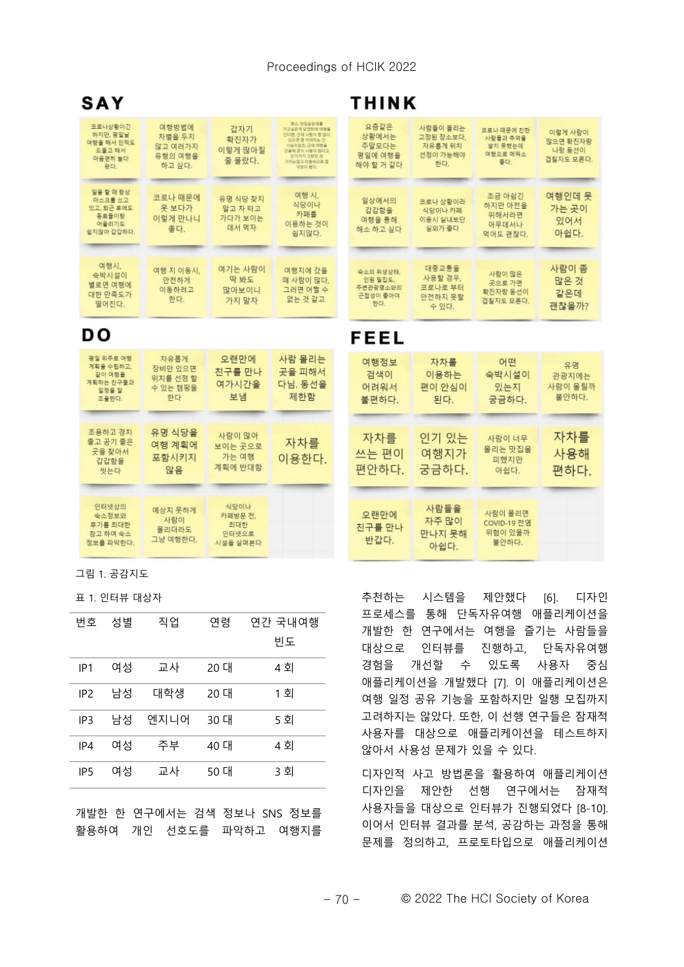#### Proceedings of HCIK 2022

| SAY                                                                |                                                 |                                             |                                                                                                                                                   | <b>THINK</b>                                        |                                                     |                                                      |                                            |
|--------------------------------------------------------------------|-------------------------------------------------|---------------------------------------------|---------------------------------------------------------------------------------------------------------------------------------------------------|-----------------------------------------------------|-----------------------------------------------------|------------------------------------------------------|--------------------------------------------|
| 코로나상황이긴<br>하지만, 평일날<br>여행을 해서 인적도<br>드물고 해서<br>마음편히 놀다<br>왔다.      | 여행방법에<br>차별을 두지<br>않고 여러가지<br>유형의 여행을<br>하고 싶다. | 갑자기<br>확진자가<br>이렇게 많아질<br>줄 몰랐다.            | 명소, 맛집잘은데를<br>가고실유계 단연하대 미래올<br>간다면, 근데 사랑이 중 많이<br>있으면 중 허려지는 건<br>사실이어용 구매 매행을<br>간을때 굳이 사랑이 많다고<br>안가거가 그런던 것<br>가지는않고 마음속으로 좀<br>219801 68 03 | 요즘같은<br>상황에서는<br>주말모다는<br>평일에 여행을<br>해야 할 거 같다      | 사람들이 몰리는<br>고정된 장소보다.<br>자유롭게 위치<br>선정이 가능해야<br>한다. | 코로나 때문에 친한<br>사람들과 추억을<br>쌓지 못했는데<br>여행으로 메꿔소<br>좋다. | 이렇게 사람이<br>많으면 확진자랑<br>나랑 동선이<br>겹칠지도 모른다. |
| 일을 할 때 항상<br>마스크를 쓰고<br>있고, 퇴근 후에도<br>동료들이랑<br>어울리기도<br>쉽지않아 갑갑하다. | 코로나 때문에<br>못 보다가<br>이렇게 만나니<br>좋다.              | 유명 식당 찾지<br>말고 차 타고<br>가다가 보이는<br>데서 먹자     | 여행 시.<br>식당이나<br>카폐를<br>이용하는 것이<br>쉽지않다.                                                                                                          | 일상에서의<br>갑갑함을<br>여행을 통해<br>해소 하고 싶다                 | 코로나 상황이라<br>식당이나 카페<br>이용시 실내보단<br>실외가 좋다.          | 조금 아쉽긴<br>하지만 아전을<br>위해서라면<br>아무데서나<br>먹어도 괜찮다.      | 여행인데 못<br>가는 곳이<br>있어서<br>아쉽다.             |
| 여행시,<br>숙박시설이<br>별로면 여행에<br>대한 만족도가<br>떨어진다.                       | 여행 지 이동시.<br>안전하게<br>이동하려고<br>한다.               | 여기는 사람이<br>딱 봐도<br>많아보이니<br>가지 말자           | 여행지에 갔을<br>때 사람이 많다.<br>그러면 어쩔 수<br>없는 것 같고                                                                                                       | 숙소의 위생상태.<br>인원 밀진도.<br>주변관광명소와의<br>근접성이 좋아야<br>한다. | 대중교통을<br>사용할 경우,<br>코로나로 부터<br>안전하지 못할<br>수 있다.     | 사람이 많은<br>곳으로 가면<br>확진자랑 동선이<br>견침지도 모른다.            | 사람이 좀<br>많은 것<br>같은데<br>괜찮을까?              |
| DO.                                                                |                                                 |                                             |                                                                                                                                                   | FEEL                                                |                                                     |                                                      |                                            |
| 평일 위주로 여행<br>계획을 수립하고.<br>같이 여행을<br>계획하는 친구들과<br>일정을 잘<br>조율한다.    | 자유롭게<br>장비만 있으면<br>위치를 선정 할<br>수 있는 캠핑을<br>한다   | 오랜만에<br>친구를 만나<br>여가시간을<br>보냄               | 사람 몰리는<br>곳을 피해서<br>다님. 동선을<br>제한함                                                                                                                | 여행정보<br>검색이<br>어려워서<br>불편하다.                        | 자차를<br>이용하는<br>편이 안심이<br>된다.                        | 어떤<br>숙박시설이<br>있는지<br>궁금하다.                          | 유명<br>관광지에는<br>사람이 몰릴까<br>불안하다.            |
| 조용하고 경치<br>좋고 공기 좋은<br>곳을 찾아서<br>갑갑함을<br>씻는다                       | 유명 식당을<br>여행 계획에<br>포함시키지<br>않음                 | 사람이 많아<br>보이는 곳으로<br>가는 여행<br>계획에 반대함       | 자차를<br>이용한다.                                                                                                                                      | 자차를<br>쓰는 편이<br>편안하다.                               | 인기 있는<br>여행지가<br>궁금하다.                              | 사람이 너무<br>몰리는 맛집을<br>피했지만<br>아쉽다.                    | 자차를<br>사용해<br>편하다.                         |
| 인터넷상의<br>숙소정보와<br>후기를 최대한<br>참고 하여 숙소<br>정보를 파악하다.                 | 예상치 못하게<br>사람이<br>몰리더라도<br>그냥 여행한다.             | 식당이나<br>카폐방문 전,<br>최대한<br>인터넷으로<br>시설을 살펴본다 |                                                                                                                                                   | 오랜만에<br>친구를 만나<br>반갑다.                              | 사람들을<br>자주 많이<br>만나지 못해<br>아쉽다.                     | 사람이 몰리면<br>COVID-19 전염<br>위험이 있을까<br>불안하다.           |                                            |

 $I$  1.  $R$   $I$   $I$   $R$ 

표 1. 인터뷰 대상자

| 번호              | 성별 | 직업   | 연령   | 연간 국내여행<br>빈도 |
|-----------------|----|------|------|---------------|
| IP1             | 여성 | 교사   | 20 대 | 4 회           |
| IP <sub>2</sub> | 남성 | 대학생  | 20 대 | 1 회           |
| IP3             | 남성 | 엔지니어 | 30 대 | 5 회           |
| IP4             | 여성 | 주부   | 40 대 | 4 회           |
| IP <sub>5</sub> | 여성 | 교사   | 50 대 | 3 회           |

개발한 한 연구에서는 검색 정보나 SNS 정보를 활용하여 개인 선호도를 파악하고 여행지를 추천하는 시스템을 제안했다 [6]. 디자인 프로세스를 통해 단독자유여행 애플리케이션을 개발한 한 연구에서는 여행을 즐기는 사람들을 대상으로 인터뷰를 진행하고, 단독자유여행 경험을 개선할 수 있도록 사용자 중심 애플리케이션을 개발했다 [7]. 이 애플리케이션은 여행 일정 공유 기능을 포함하지만 일행 모집까지 고려하지는 않았다. 또한, 이 선행 연구들은 잠재적 사용자를 대상으로 애플리케이션을 테스트하지 않아서 사용성 문제가 있을 수 있다.

디자인적 사고 방법론을 활용하여 애플리케이션 디자인을 제안한 선행 연구에서는 잠재적 사용자들을 대상으로 인터뷰가 진행되었다 [8-10]. 이어서 인터뷰 결과를 부석, 공감하는 과정을 통해 문제를 정의하고, 프로토타입으로 애플리케이션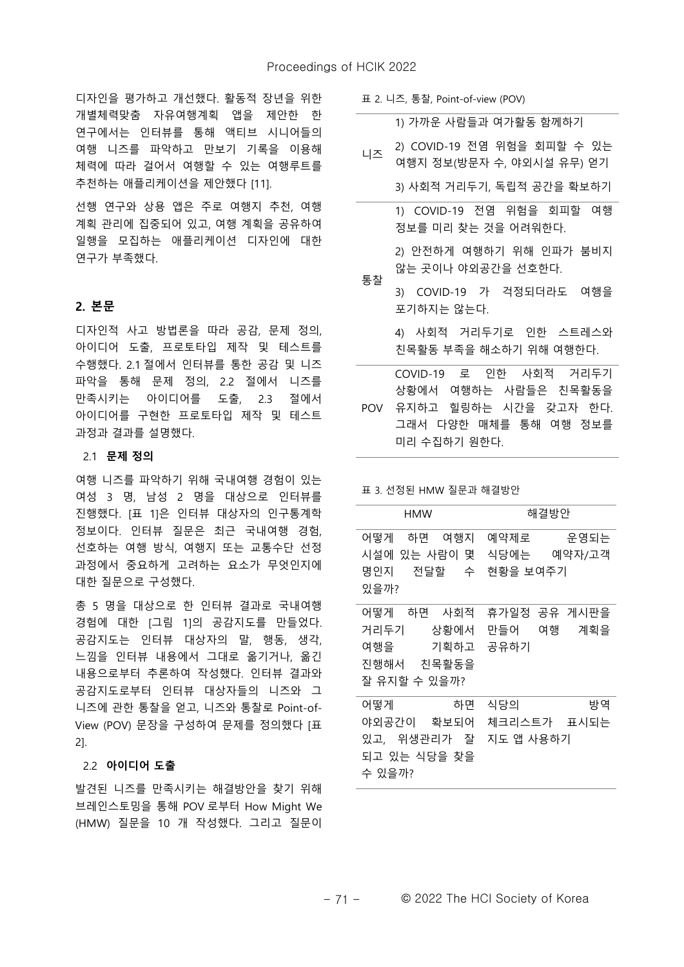디자인을 평가하고 개선했다. 활동적 장년을 위한 개별체력맞춤 자유여행계획 앱을 제안한 한 연구에서는 인터뷰를 통해 액티브 시니어들의 여행 니즈를 파악하고 만보기 기록을 이용해 체력에 따라 걸어서 여행할 수 있는 여행루트를 추천하는 애플리케이션을 제안했다 [11].

선행 여구와 상용 앱은 주로 여행지 추천, 여행 계획 관리에 집중되어 있고, 여행 계획을 공유하여 일행을 모집하는 애플리케이션 디자인에 대한 연구가 부족했다.

#### **הؿ 2.**

디자인적 사고 방법론을 따라 공감, 문제 정의, 아이디어 도출, 프로토타입 제작 및 테스트를 수행했다. 2.1 절에서 인터뷰를 통한 공감 및 니즈 파악을 통해 문제 정의, 2.2 절에서 니즈를 만족시키는 아이디어를 도출, 2.3 절에서 아이디어를 구현한 프로토타입 제작 및 테스트 과정과 결과를 설명했다.

#### 2.1 문제 정의

여행 니즈를 파악하기 위해 국내여행 경험이 있는 여성 3 명, 남성 2 명을 대상으로 인터뷰를 진행했다. [표 1]은 인터뷰 대상자의 인구통계학 정보이다. 인터뷰 질문은 최근 국내여행 경험, 선호하는 여행 방식, 여행지 또는 교통수단 선정 과정에서 중요하게 고려하는 요소가 무엇인지에 대한 질문으로 구성했다.

총 5 명을 대상으로 한 인터뷰 결과로 국내여행 경험에 대한 [그림 1]의 공감지도를 만들었다.  $\overline{a}$  공감지도는 인터뷰 대상자의 말, 행동, 생각, 느낌을 인터뷰 내용에서 그대로 옮기거나, 옮긴 내용으로부터 추론하여 작성했다. 인터뷰 결과와 공감지도로부터 인터뷰 대상자들의 니즈와 그 니즈에 관한 통찰을 얻고, 니즈와 통찰로 Point-of-View (POV) 문장을 구성하여 문제를 정의했다 [표 2].

#### 2.2 아이디어 도출

발견된 니즈를 만족시키는 해결방안을 찾기 위해 브레인스토밍을 통해 POV 로부터 How Might We (HMW) 질문을 10 개 작성했다. 그리고 질문이

표 2. 니즈, 통찰, Point-of-view (POV)

| 니즈 | 1) 가까운 사람들과 여가활동 함께하기       |
|----|-----------------------------|
|    | 2) COVID-19 전염 위험을 회피할 수 있는 |
|    | 여행지 정보(방문자 수, 야외시설 유무) 얻기   |
|    | 3) 사회적 거리두기, 독립적 공간을 확보하기   |
|    | 1) COVID-19 전염 위험을 회피할 여행   |
|    | 정보를 미리 찾는 것을 어려워한다.         |
|    | 2) 안전하게 여행하기 위해 인파가 붐비지     |
| 통찰 | 않는 곳이나 야외공간을 선호한다.          |
|    | 3) COVID-19 가 걱정되더라도 여행을    |
|    | 포기하지는 않는다.                  |
|    | 4) 사회적 거리두기로 인한 스트레스와       |
|    | 친목활동 부족을 해소하기 위해 여행한다.      |
|    | COVID-19 로 인한 사회적 거리두기      |
|    | 상황에서 여행하는 사람들은 친목활동을        |
|    | POV 유지하고 힐링하는 시간을 갖고자 한다.   |
|    | 그래서 다양한 매체를 통해 여행 정보를       |

표 3. 선정된 HMW 질문과 해결방안

미리 수집하기 워한다.

| <b>HMW</b>                            | 해결방안                     |
|---------------------------------------|--------------------------|
| 어떻게<br>하면 여행지<br>시설에 있는 사람이 몇         | 예약제로 운영되는<br>식당에는 예약자/고객 |
| 명인지 전달할 수<br>있을까?                     | 현황을 보여주기                 |
| 어떻게 하면 사회적                            | 휴가일정 공유 게시판을             |
|                                       | 거리두기 상황에서 만들어 여행 계획을     |
| 여행을 기획하고 공유하기                         |                          |
| 진행해서 친목활동을                            |                          |
| 잘 유지할 수 있을까?                          |                          |
| 하면<br>어떻게                             | 식당의<br>방역                |
| 야외공간이 확보되어                            | 체크리스트가 표시되는              |
| 있고, 위생관리가 잘<br>되고 있는 식당을 찾을<br>수 있을까? | 지도 앱 사용하기                |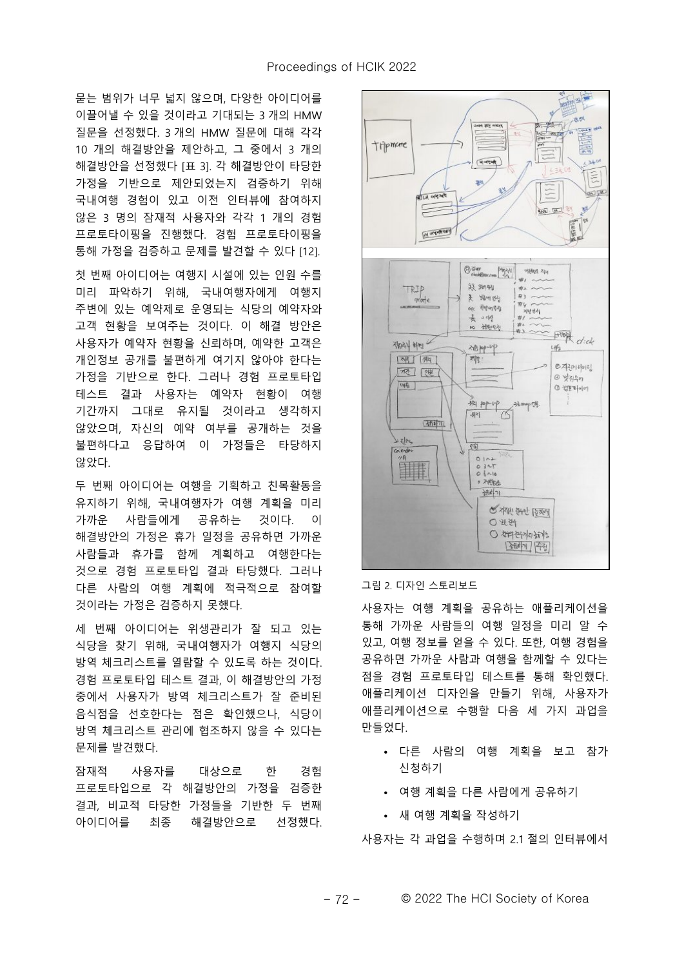문는 범위가 너무 넓지 않으며, 다양한 아이디어를 이끌어낼 수 있을 것이라고 기대되는 3 개의 HMW 질문을 선정했다. 3 개의 HMW 질문에 대해 각각 10 개의 해결방안을 제안하고, 그 중에서 3 개의 해결방안을 선정했다 [표 3]. 각 해결방안이 타당한 가정을 기반으로 제안되었는지 검증하기 위해 국내여행 경험이 있고 이전 인터뷰에 참여하지 않은 3 명의 잠재적 사용자와 각각 1 개의 경험 프로토타이핑을 진행했다. 경험 프로토타이핑을 통해 가정을 검증하고 문제를 발견할 수 있다 [12].

첫 번째 아이디어는 여행지 시설에 있는 인원 수를 미리 파악하기 위해, 국내여행자에게 여행지 주변에 있는 예약제로 운영되는 식당의 예약자와 고객 현황을 보여주는 것이다. 이 해결 방안은 사용자가 예약자 현황을 신뢰하며, 예약한 고객은 개인정보 공개를 불편하게 여기지 않아야 한다는 가정을 기반으로 한다. 그러나 경험 프로토타입 테스트 결과 사용자는 예약자 현황이 여행 기간까지 그대로 유지될 것이라고 생각하지 않았으며, 자신의 예약 여부를 공개하는 것을 불편하다고 응답하여 이 가정들은 타당하지 않았다.

두 번째 아이디어는 여행을 기획하고 친목활동을 유지하기 위해, 국내여행자가 여행 계획을 미리 가까운 사람들에게 공유하는 것이다. 이 해결방안의 가정은 휴가 일정을 공유하면 가까운 사람들과 휴가를 함께 계획하고 여행한다는 것으로 경험 프로토타입 결과 타당했다. 그러나 다른 사람의 여행 계획에 적극적으로 참여할 것이라는 가정은 검증하지 못했다.

세 번째 아이디어는 위생관리가 잘 되고 있는 식당을 찾기 위해, 국내여행자가 여행지 식당의 방역 체크리스트를 열람할 수 있도록 하는 것이다. 경험 프로토타입 테스트 결과, 이 해결방안의 가정 중에서 사용자가 방역 체크리스트가 잘 준비된 음식점을 선호한다는 점은 확인했으나, 식당이 방역 체크리스트 관리에 협조하지 않을 수 있다는 문제를 발견했다.

잠재적 사용자를 대상으로 한 경험 프로토타입으로 각 해결방안의 가정을 검증한 결과, 비교적 타당한 가정들을 기반한 두 번째 아이디어를 최종 해결방안으로 선정했다.



#### 그림 2. 디자인 스토리보드

사용자는 여행 계획을 공유하는 애플리케이션을 통해 가까운 사람들의 여행 일정을 미리 알 수 있고, 여행 정보를 얻을 수 있다. 또한, 여행 경험을 공유하면 가까운 사람과 여행을 함께할 수 있다는 점을 경험 프로토타입 테스트를 통해 확인했다. 애플리케이션 디자인을 만들기 위해, 사용자가 애플리케이션으로 수행할 다음 세 가지 과업을 만들었다.

- $\cdot$  다른 사람의 여행 계획을 보고 참가 신청하기
- $\cdot$  여행 계획을 다른 사람에게 공유하기
- $\bullet$  새 여행 계획을 작성하기

사용자는 각 과업을 수행하며 2.1 절의 인터뷰에서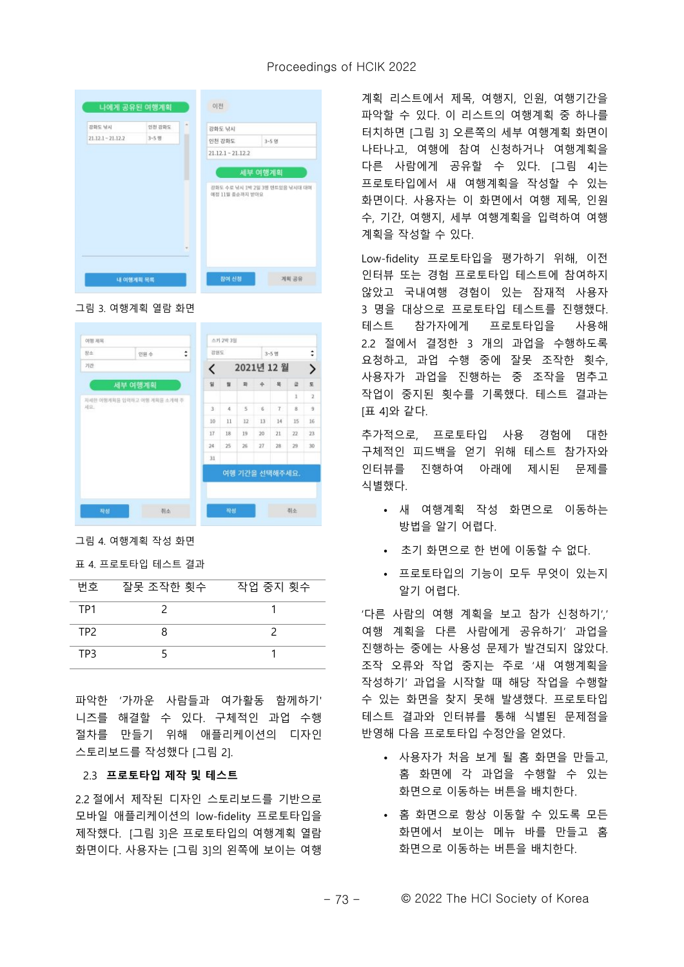#### Proceedings of HCIK 2022



그림 3. 여행계획 열람 화면

| 여행 제목 |                             |   |     | 스키 2박 3일 |    |               |                |              |                |
|-------|-----------------------------|---|-----|----------|----|---------------|----------------|--------------|----------------|
| 창소    | 인원 수                        | ÷ | 강원도 |          |    |               | $3 - 5 =$      |              | ÷              |
| 기간    |                             |   | K   |          |    |               | 2021년 12 월     |              | ゝ              |
|       | 세부 여행계획                     |   | 窗   | 当        | 葑  | $\Rightarrow$ | 些              | 글            | 星              |
|       | 자세한 여행개회를 입력하고 여행 개회를 소개해 주 |   |     |          |    |               |                | $\mathbf{1}$ | $\overline{2}$ |
| 减요.   |                             |   | 3   | $\Delta$ | 5  | $\mathbf{6}$  | 7              | g            | 9              |
|       |                             |   | 10  | 11       | 12 | 13            | 14             | 15           | 16             |
|       |                             |   | 17  | 18       | 19 | 20            | $^{21}$        | 22           | 23             |
|       |                             |   | 24  | 25       | 26 | 27            | 28             | 29           | 30             |
|       |                             |   | 31  |          |    |               |                |              |                |
|       |                             |   |     |          |    |               | 여행 기간을 선택해주세요. |              |                |
|       |                             |   |     |          |    |               |                |              |                |
|       |                             |   |     |          |    |               |                |              |                |
| 작성    | 취소                          |   |     | 작성       |    |               |                | 취소           |                |

그림 4. 여행계획 작성 화면

# 표 4. 프로토타입 테스트 결과

| 번호  | 잘못 조작한 횟수 | 작업 중지 횟수 |
|-----|-----------|----------|
| TP1 |           |          |
| TP2 |           |          |
| TP3 |           |          |

파악한 '가까운 사람들과 여가활동 함께하기' 니즈를 해결할 수 있다. 구체적인 과업 수행 절차를 만들기 위해 애플리케이션의 디자인 스토리보드를 작성했다 [그림 2].

#### 2.3 프로토타입 제작 및 테스트

2.2 절에서 제작된 디자인 스토리보드를 기반으로 모바일 애플리케이션의 low-fidelity 프로토타입을 제작했다. [그림 3]은 프로토타입의 여행계획 열람 화면이다. 사용자는 [그림 3]의 왼쪽에 보이는 여행 계획 리스트에서 제목, 여행지, 인원, 여행기간을 파악할 수 있다. 이 리스트의 여행계획 중 하나를 터치하면 [그림 3] 오른쪽의 세부 여행계획 화면이 나타나고, 여행에 참여 신청하거나 여행계획을 다른 사람에게 공유할 수 있다. [그림 4]는 프로토타입에서 새 여행계획을 작성할 수 있는 화면이다. 사용자는 이 화면에서 여행 제목, 인원 수, 기간, 여행지, 세부 여행계획을 입력하여 여행 계획을 작성할 수 있다.

Low-fidelity 프로토타입을 평가하기 위해, 이전 인터뷰 또는 경험 프로토타입 테스트에 참여하지 않았고 국내여행 경험이 있는 잠재적 사용자 3 명을 대상으로 프로토타입 테스트를 진행했다. 테스트 참가자에게 프로토타입을 사용해 2.2 절에서 결정한 3 개의 과업을 수행하도록 요청하고, 과업 수행 중에 잘못 조작한 횟수, 사용자가 과업을 진행하는 중 조작을 멈추고 작업이 중지된 횟수를 기록했다. 테스트 결과는 [표 4]와 같다.

추가적으로, 프로토타입 사용 경험에 대한 구체적인 피드백을 얻기 위해 테스트 참가자와 인터뷰를 진행하여 아래에 제시된 문제를 식별했다.

- 새 여행계획 작성 화면으로 이동하는 방법을 알기 어렵다.
- $\cdot$   $\pm$ 기 화면으로 한 번에 이동할 수 없다.
- $\cdot$  프로토타입의 기능이 모두 무엇이 있는지 알기 어렵다.

'다른 사람의 여행 계획을 보고 참가 신청하기' 여행 계획을 다른 사람에게 공유하기' 과업을 진행하는 중에는 사용성 문제가 발견되지 않았다. 조작 오류와 작업 중지는 주로 '새 여행계획을 작성하기' 과업을 시작할 때 해당 작업을 수행할 수 있는 화면을 찾지 못해 발생했다. 프로토타입 테스트 결과와 인터뷰를 통해 식별된 문제점을 반영해 다음 프로토타입 수정안을 얻었다.

- 사용자가 처음 보게 될 홈 화면을 만들고, 홈 화면에 각 과업을 수행할 수 있는 화면으로 이동하는 버튼을 배치한다.
- $\cdot$  홈 화면으로 항상 이동할 수 있도록 모든 화면에서 보이는 메뉴 바를 만들고 홈 화면으로 이동하는 버튼을 배치한다.